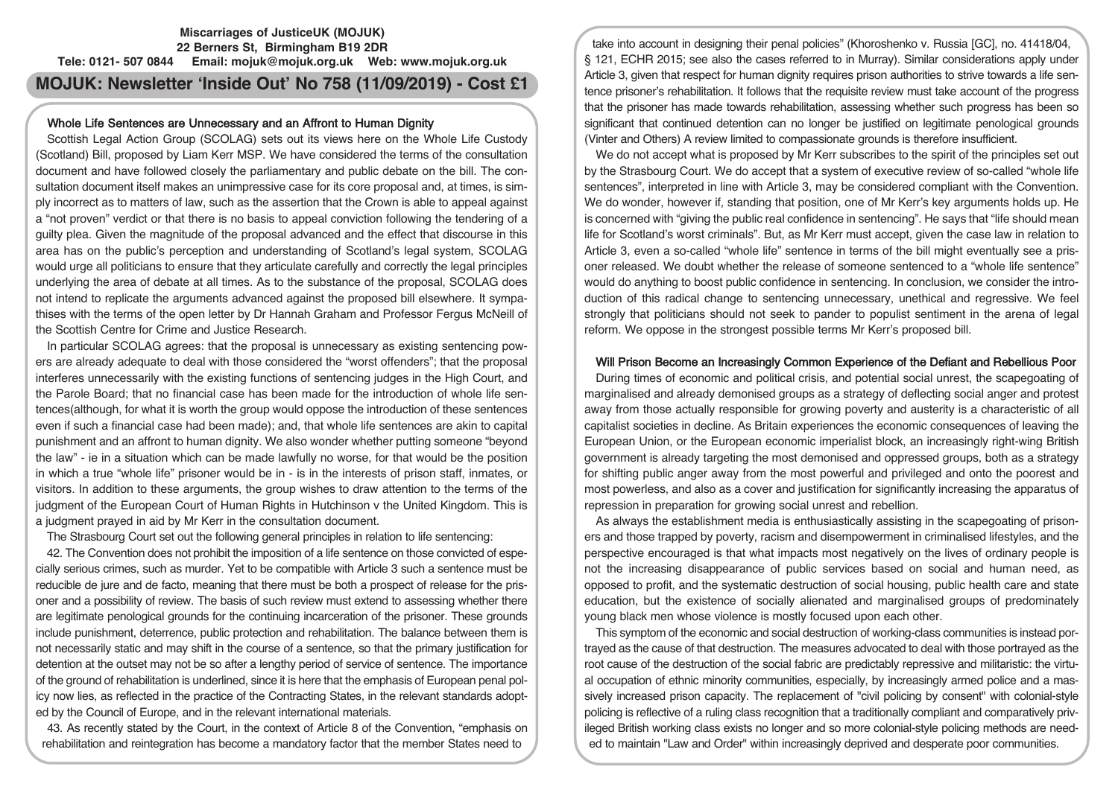## **Miscarriages of JusticeUK (MOJUK) 22 Berners St, Birmingham B19 2DR Tele: 0121- 507 0844 Email: mojuk@mojuk.org.uk Web: www.mojuk.org.uk**

# **MOJUK: Newsletter 'Inside Out' No 758 (11/09/2019) - Cost £1**

## Whole Life Sentences are Unnecessary and an Affront to Human Dignity

Scottish Legal Action Group (SCOLAG) sets out its views here on the Whole Life Custody (Scotland) Bill, proposed by Liam Kerr MSP. We have considered the terms of the consultation document and have followed closely the parliamentary and public debate on the bill. The consultation document itself makes an unimpressive case for its core proposal and, at times, is simply incorrect as to matters of law, such as the assertion that the Crown is able to appeal against a "not proven" verdict or that there is no basis to appeal conviction following the tendering of a guilty plea. Given the magnitude of the proposal advanced and the effect that discourse in this area has on the public's perception and understanding of Scotland's legal system, SCOLAG would urge all politicians to ensure that they articulate carefully and correctly the legal principles underlying the area of debate at all times. As to the substance of the proposal, SCOLAG does not intend to replicate the arguments advanced against the proposed bill elsewhere. It sympathises with the terms of the open letter by Dr Hannah Graham and Professor Fergus McNeill of the Scottish Centre for Crime and Justice Research.

In particular SCOLAG agrees: that the proposal is unnecessary as existing sentencing powers are already adequate to deal with those considered the "worst offenders"; that the proposal interferes unnecessarily with the existing functions of sentencing judges in the High Court, and the Parole Board; that no financial case has been made for the introduction of whole life sentences(although, for what it is worth the group would oppose the introduction of these sentences even if such a financial case had been made); and, that whole life sentences are akin to capital punishment and an affront to human dignity. We also wonder whether putting someone "beyond the law" - ie in a situation which can be made lawfully no worse, for that would be the position in which a true "whole life" prisoner would be in - is in the interests of prison staff, inmates, or visitors. In addition to these arguments, the group wishes to draw attention to the terms of the judgment of the European Court of Human Rights in Hutchinson v the United Kingdom. This is a judgment prayed in aid by Mr Kerr in the consultation document.

The Strasbourg Court set out the following general principles in relation to life sentencing:

42. The Convention does not prohibit the imposition of a life sentence on those convicted of especially serious crimes, such as murder. Yet to be compatible with Article 3 such a sentence must be reducible de jure and de facto, meaning that there must be both a prospect of release for the prisoner and a possibility of review. The basis of such review must extend to assessing whether there are legitimate penological grounds for the continuing incarceration of the prisoner. These grounds include punishment, deterrence, public protection and rehabilitation. The balance between them is not necessarily static and may shift in the course of a sentence, so that the primary justification for detention at the outset may not be so after a lengthy period of service of sentence. The importance of the ground of rehabilitation is underlined, since it is here that the emphasis of European penal policy now lies, as reflected in the practice of the Contracting States, in the relevant standards adopted by the Council of Europe, and in the relevant international materials.

43. As recently stated by the Court, in the context of Article 8 of the Convention, "emphasis on rehabilitation and reintegration has become a mandatory factor that the member States need to

take into account in designing their penal policies" (Khoroshenko v. Russia [GC], no. 41418/04, § 121, ECHR 2015; see also the cases referred to in Murray). Similar considerations apply under Article 3, given that respect for human dignity requires prison authorities to strive towards a life sentence prisoner's rehabilitation. It follows that the requisite review must take account of the progress that the prisoner has made towards rehabilitation, assessing whether such progress has been so significant that continued detention can no longer be justified on legitimate penological grounds (Vinter and Others) A review limited to compassionate grounds is therefore insufficient.

We do not accept what is proposed by Mr Kerr subscribes to the spirit of the principles set out by the Strasbourg Court. We do accept that a system of executive review of so-called "whole life sentences", interpreted in line with Article 3, may be considered compliant with the Convention. We do wonder, however if, standing that position, one of Mr Kerr's key arguments holds up. He is concerned with "giving the public real confidence in sentencing". He says that "life should mean life for Scotland's worst criminals". But, as Mr Kerr must accept, given the case law in relation to Article 3, even a so-called "whole life" sentence in terms of the bill might eventually see a prisoner released. We doubt whether the release of someone sentenced to a "whole life sentence" would do anything to boost public confidence in sentencing. In conclusion, we consider the introduction of this radical change to sentencing unnecessary, unethical and regressive. We feel strongly that politicians should not seek to pander to populist sentiment in the arena of legal reform. We oppose in the strongest possible terms Mr Kerr's proposed bill.

## Will Prison Become an Increasingly Common Experience of the Defiant and Rebellious Poor

During times of economic and political crisis, and potential social unrest, the scapegoating of marginalised and already demonised groups as a strategy of deflecting social anger and protest away from those actually responsible for growing poverty and austerity is a characteristic of all capitalist societies in decline. As Britain experiences the economic consequences of leaving the European Union, or the European economic imperialist block, an increasingly right-wing British government is already targeting the most demonised and oppressed groups, both as a strategy for shifting public anger away from the most powerful and privileged and onto the poorest and most powerless, and also as a cover and justification for significantly increasing the apparatus of repression in preparation for growing social unrest and rebellion.

As always the establishment media is enthusiastically assisting in the scapegoating of prisoners and those trapped by poverty, racism and disempowerment in criminalised lifestyles, and the perspective encouraged is that what impacts most negatively on the lives of ordinary people is not the increasing disappearance of public services based on social and human need, as opposed to profit, and the systematic destruction of social housing, public health care and state education, but the existence of socially alienated and marginalised groups of predominately young black men whose violence is mostly focused upon each other.

This symptom of the economic and social destruction of working-class communities is instead portrayed as the cause of that destruction. The measures advocated to deal with those portrayed as the root cause of the destruction of the social fabric are predictably repressive and militaristic: the virtual occupation of ethnic minority communities, especially, by increasingly armed police and a massively increased prison capacity. The replacement of "civil policing by consent" with colonial-style policing is reflective of a ruling class recognition that a traditionally compliant and comparatively privileged British working class exists no longer and so more colonial-style policing methods are needed to maintain "Law and Order" within increasingly deprived and desperate poor communities.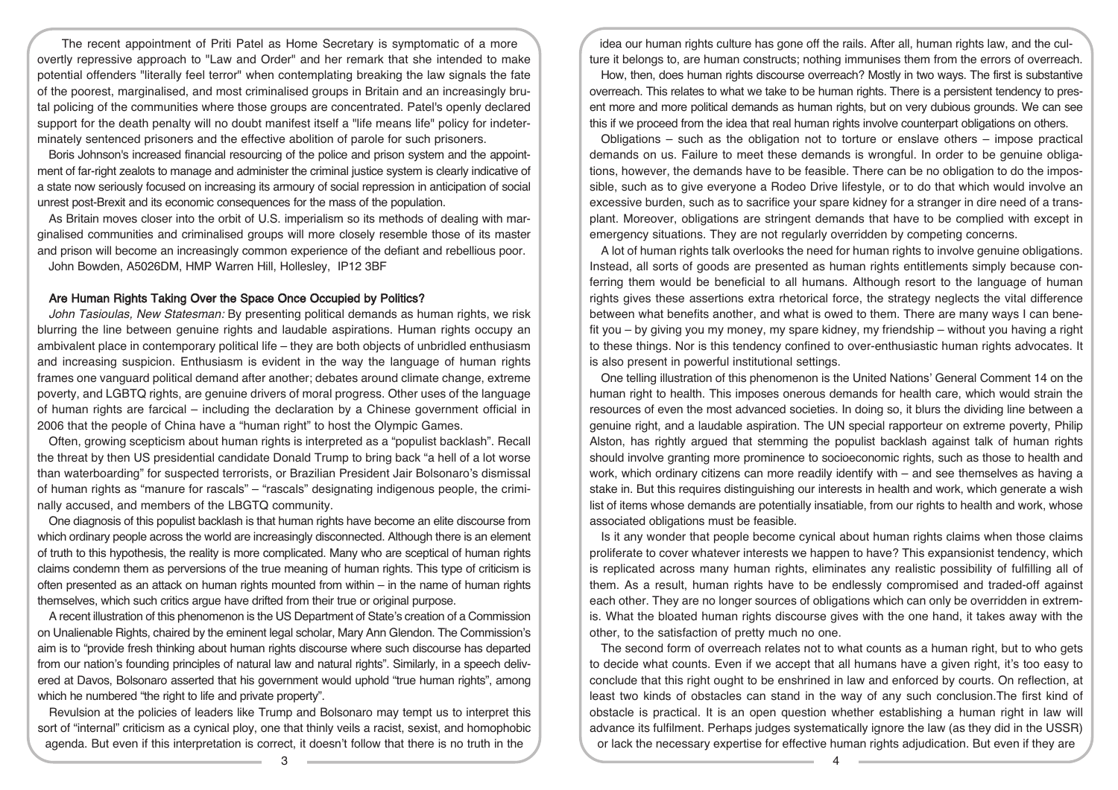The recent appointment of Priti Patel as Home Secretary is symptomatic of a more overtly repressive approach to "Law and Order" and her remark that she intended to make potential offenders "literally feel terror" when contemplating breaking the law signals the fate of the poorest, marginalised, and most criminalised groups in Britain and an increasingly brutal policing of the communities where those groups are concentrated. Patel's openly declared support for the death penalty will no doubt manifest itself a "life means life" policy for indeterminately sentenced prisoners and the effective abolition of parole for such prisoners.

Boris Johnson's increased financial resourcing of the police and prison system and the appointment of far-right zealots to manage and administer the criminal justice system is clearly indicative of a state now seriously focused on increasing its armoury of social repression in anticipation of social unrest post-Brexit and its economic consequences for the mass of the population.

As Britain moves closer into the orbit of U.S. imperialism so its methods of dealing with marginalised communities and criminalised groups will more closely resemble those of its master and prison will become an increasingly common experience of the defiant and rebellious poor. John Bowden, A5026DM, HMP Warren Hill, Hollesley, IP12 3BF

#### Are Human Rights Taking Over the Space Once Occupied by Politics?

John Tasioulas, New Statesman: By presenting political demands as human rights, we risk blurring the line between genuine rights and laudable aspirations. Human rights occupy an ambivalent place in contemporary political life – they are both objects of unbridled enthusiasm and increasing suspicion. Enthusiasm is evident in the way the language of human rights frames one vanguard political demand after another; debates around climate change, extreme poverty, and LGBTQ rights, are genuine drivers of moral progress. Other uses of the language of human rights are farcical – including the declaration by a Chinese government official in 2006 that the people of China have a "human right" to host the Olympic Games.

Often, growing scepticism about human rights is interpreted as a "populist backlash". Recall the threat by then US presidential candidate Donald Trump to bring back "a hell of a lot worse than waterboarding" for suspected terrorists, or Brazilian President Jair Bolsonaro's dismissal of human rights as "manure for rascals" – "rascals" designating indigenous people, the criminally accused, and members of the LBGTQ community.

One diagnosis of this populist backlash is that human rights have become an elite discourse from which ordinary people across the world are increasingly disconnected. Although there is an element of truth to this hypothesis, the reality is more complicated. Many who are sceptical of human rights claims condemn them as perversions of the true meaning of human rights. This type of criticism is often presented as an attack on human rights mounted from within – in the name of human rights themselves, which such critics argue have drifted from their true or original purpose.

A recent illustration of this phenomenon is the US Department of State's creation of a Commission on Unalienable Rights, chaired by the eminent legal scholar, Mary Ann Glendon. The Commission's aim is to "provide fresh thinking about human rights discourse where such discourse has departed from our nation's founding principles of natural law and natural rights". Similarly, in a speech delivered at Davos, Bolsonaro asserted that his government would uphold "true human rights", among which he numbered "the right to life and private property".

Revulsion at the policies of leaders like Trump and Bolsonaro may tempt us to interpret this sort of "internal" criticism as a cynical ploy, one that thinly veils a racist, sexist, and homophobic agenda. But even if this interpretation is correct, it doesn't follow that there is no truth in the

idea our human rights culture has gone off the rails. After all, human rights law, and the culture it belongs to, are human constructs; nothing immunises them from the errors of overreach.

How, then, does human rights discourse overreach? Mostly in two ways. The first is substantive overreach. This relates to what we take to be human rights. There is a persistent tendency to present more and more political demands as human rights, but on very dubious grounds. We can see this if we proceed from the idea that real human rights involve counterpart obligations on others.

Obligations – such as the obligation not to torture or enslave others – impose practical demands on us. Failure to meet these demands is wrongful. In order to be genuine obligations, however, the demands have to be feasible. There can be no obligation to do the impossible, such as to give everyone a Rodeo Drive lifestyle, or to do that which would involve an excessive burden, such as to sacrifice your spare kidney for a stranger in dire need of a transplant. Moreover, obligations are stringent demands that have to be complied with except in emergency situations. They are not regularly overridden by competing concerns.

A lot of human rights talk overlooks the need for human rights to involve genuine obligations. Instead, all sorts of goods are presented as human rights entitlements simply because conferring them would be beneficial to all humans. Although resort to the language of human rights gives these assertions extra rhetorical force, the strategy neglects the vital difference between what benefits another, and what is owed to them. There are many ways I can benefit you – by giving you my money, my spare kidney, my friendship – without you having a right to these things. Nor is this tendency confined to over-enthusiastic human rights advocates. It is also present in powerful institutional settings.

One telling illustration of this phenomenon is the United Nations' General Comment 14 on the human right to health. This imposes onerous demands for health care, which would strain the resources of even the most advanced societies. In doing so, it blurs the dividing line between a genuine right, and a laudable aspiration. The UN special rapporteur on extreme poverty, Philip Alston, has rightly argued that stemming the populist backlash against talk of human rights should involve granting more prominence to socioeconomic rights, such as those to health and work, which ordinary citizens can more readily identify with – and see themselves as having a stake in. But this requires distinguishing our interests in health and work, which generate a wish list of items whose demands are potentially insatiable, from our rights to health and work, whose associated obligations must be feasible.

Is it any wonder that people become cynical about human rights claims when those claims proliferate to cover whatever interests we happen to have? This expansionist tendency, which is replicated across many human rights, eliminates any realistic possibility of fulfilling all of them. As a result, human rights have to be endlessly compromised and traded-off against each other. They are no longer sources of obligations which can only be overridden in extremis. What the bloated human rights discourse gives with the one hand, it takes away with the other, to the satisfaction of pretty much no one.

The second form of overreach relates not to what counts as a human right, but to who gets to decide what counts. Even if we accept that all humans have a given right, it's too easy to conclude that this right ought to be enshrined in law and enforced by courts. On reflection, at least two kinds of obstacles can stand in the way of any such conclusion.The first kind of obstacle is practical. It is an open question whether establishing a human right in law will advance its fulfilment. Perhaps judges systematically ignore the law (as they did in the USSR) or lack the necessary expertise for effective human rights adjudication. But even if they are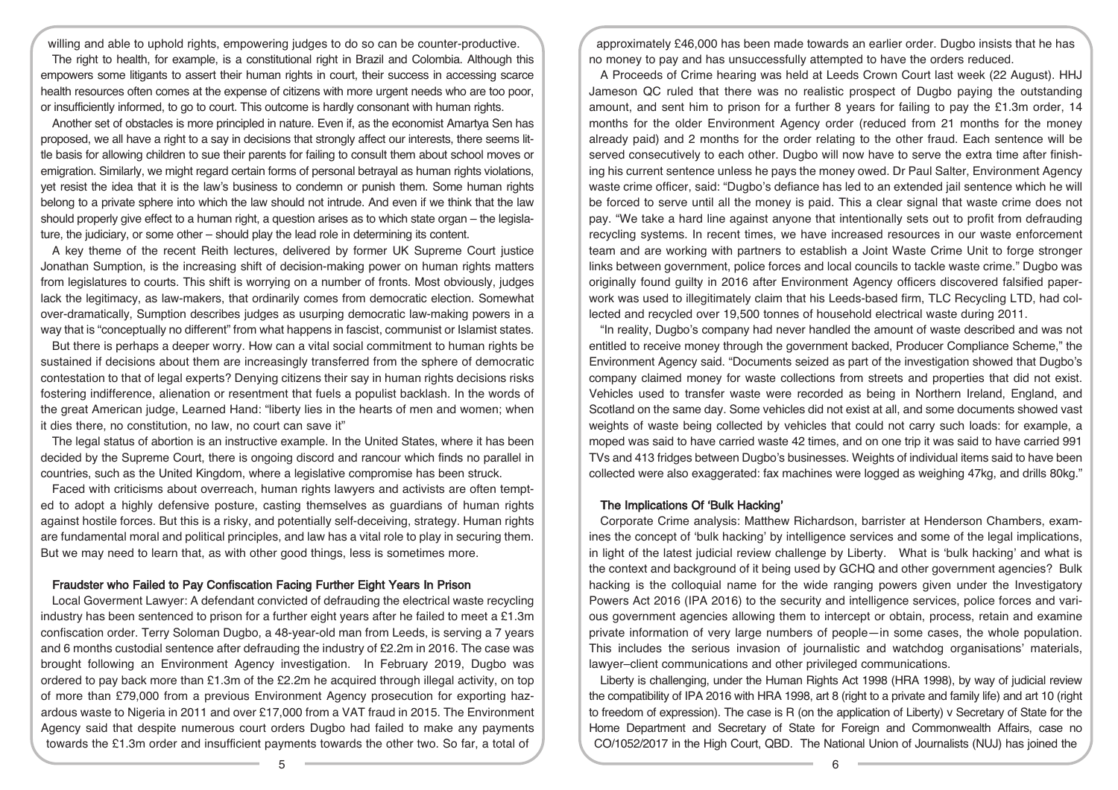willing and able to uphold rights, empowering judges to do so can be counter-productive. The right to health, for example, is a constitutional right in Brazil and Colombia. Although this empowers some litigants to assert their human rights in court, their success in accessing scarce health resources often comes at the expense of citizens with more urgent needs who are too poor, or insufficiently informed, to go to court. This outcome is hardly consonant with human rights.

Another set of obstacles is more principled in nature. Even if, as the economist Amartya Sen has proposed, we all have a right to a say in decisions that strongly affect our interests, there seems little basis for allowing children to sue their parents for failing to consult them about school moves or emigration. Similarly, we might regard certain forms of personal betrayal as human rights violations, yet resist the idea that it is the law's business to condemn or punish them. Some human rights belong to a private sphere into which the law should not intrude. And even if we think that the law should properly give effect to a human right, a question arises as to which state organ – the legislature, the judiciary, or some other – should play the lead role in determining its content.

A key theme of the recent Reith lectures, delivered by former UK Supreme Court justice Jonathan Sumption, is the increasing shift of decision-making power on human rights matters from legislatures to courts. This shift is worrying on a number of fronts. Most obviously, judges lack the legitimacy, as law-makers, that ordinarily comes from democratic election. Somewhat over-dramatically, Sumption describes judges as usurping democratic law-making powers in a way that is "conceptually no different" from what happens in fascist, communist or Islamist states.

But there is perhaps a deeper worry. How can a vital social commitment to human rights be sustained if decisions about them are increasingly transferred from the sphere of democratic contestation to that of legal experts? Denying citizens their say in human rights decisions risks fostering indifference, alienation or resentment that fuels a populist backlash. In the words of the great American judge, Learned Hand: "liberty lies in the hearts of men and women; when it dies there, no constitution, no law, no court can save it"

The legal status of abortion is an instructive example. In the United States, where it has been decided by the Supreme Court, there is ongoing discord and rancour which finds no parallel in countries, such as the United Kingdom, where a legislative compromise has been struck.

Faced with criticisms about overreach, human rights lawyers and activists are often tempted to adopt a highly defensive posture, casting themselves as guardians of human rights against hostile forces. But this is a risky, and potentially self-deceiving, strategy. Human rights are fundamental moral and political principles, and law has a vital role to play in securing them. But we may need to learn that, as with other good things, less is sometimes more.

### Fraudster who Failed to Pay Confiscation Facing Further Eight Years In Prison

Local Goverment Lawyer: A defendant convicted of defrauding the electrical waste recycling industry has been sentenced to prison for a further eight years after he failed to meet a £1.3m confiscation order. Terry Soloman Dugbo, a 48-year-old man from Leeds, is serving a 7 years and 6 months custodial sentence after defrauding the industry of £2.2m in 2016. The case was brought following an Environment Agency investigation. In February 2019, Dugbo was ordered to pay back more than £1.3m of the £2.2m he acquired through illegal activity, on top of more than £79,000 from a previous Environment Agency prosecution for exporting hazardous waste to Nigeria in 2011 and over £17,000 from a VAT fraud in 2015. The Environment Agency said that despite numerous court orders Dugbo had failed to make any payments towards the £1.3m order and insufficient payments towards the other two. So far, a total of

approximately £46,000 has been made towards an earlier order. Dugbo insists that he has no money to pay and has unsuccessfully attempted to have the orders reduced.

A Proceeds of Crime hearing was held at Leeds Crown Court last week (22 August). HHJ Jameson QC ruled that there was no realistic prospect of Dugbo paying the outstanding amount, and sent him to prison for a further 8 years for failing to pay the £1.3m order, 14 months for the older Environment Agency order (reduced from 21 months for the money already paid) and 2 months for the order relating to the other fraud. Each sentence will be served consecutively to each other. Dugbo will now have to serve the extra time after finishing his current sentence unless he pays the money owed. Dr Paul Salter, Environment Agency waste crime officer, said: "Dugbo's defiance has led to an extended jail sentence which he will be forced to serve until all the money is paid. This a clear signal that waste crime does not pay. "We take a hard line against anyone that intentionally sets out to profit from defrauding recycling systems. In recent times, we have increased resources in our waste enforcement team and are working with partners to establish a Joint Waste Crime Unit to forge stronger links between government, police forces and local councils to tackle waste crime." Dugbo was originally found guilty in 2016 after Environment Agency officers discovered falsified paperwork was used to illegitimately claim that his Leeds-based firm, TLC Recycling LTD, had collected and recycled over 19,500 tonnes of household electrical waste during 2011.

"In reality, Dugbo's company had never handled the amount of waste described and was not entitled to receive money through the government backed, Producer Compliance Scheme," the Environment Agency said. "Documents seized as part of the investigation showed that Dugbo's company claimed money for waste collections from streets and properties that did not exist. Vehicles used to transfer waste were recorded as being in Northern Ireland, England, and Scotland on the same day. Some vehicles did not exist at all, and some documents showed vast weights of waste being collected by vehicles that could not carry such loads: for example, a moped was said to have carried waste 42 times, and on one trip it was said to have carried 991 TVs and 413 fridges between Dugbo's businesses. Weights of individual items said to have been collected were also exaggerated: fax machines were logged as weighing 47kg, and drills 80kg."

## The Implications Of 'Bulk Hacking'

Corporate Crime analysis: Matthew Richardson, barrister at Henderson Chambers, examines the concept of 'bulk hacking' by intelligence services and some of the legal implications, in light of the latest judicial review challenge by Liberty. What is 'bulk hacking' and what is the context and background of it being used by GCHQ and other government agencies? Bulk hacking is the colloquial name for the wide ranging powers given under the Investigatory Powers Act 2016 (IPA 2016) to the security and intelligence services, police forces and various government agencies allowing them to intercept or obtain, process, retain and examine private information of very large numbers of people—in some cases, the whole population. This includes the serious invasion of journalistic and watchdog organisations' materials, lawyer–client communications and other privileged communications.

Liberty is challenging, under the Human Rights Act 1998 (HRA 1998), by way of judicial review the compatibility of IPA 2016 with HRA 1998, art 8 (right to a private and family life) and art 10 (right to freedom of expression). The case is R (on the application of Liberty) v Secretary of State for the Home Department and Secretary of State for Foreign and Commonwealth Affairs, case no CO/1052/2017 in the High Court, QBD. The National Union of Journalists (NUJ) has joined the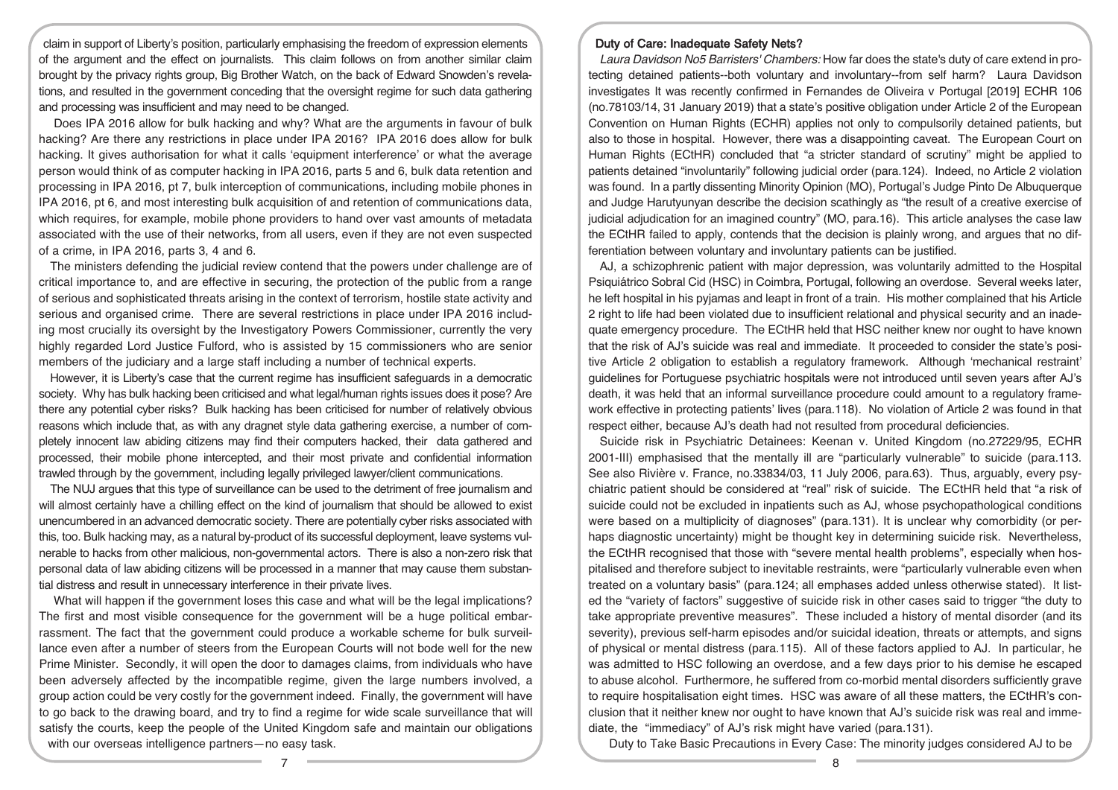claim in support of Liberty's position, particularly emphasising the freedom of expression elements of the argument and the effect on journalists. This claim follows on from another similar claim brought by the privacy rights group, Big Brother Watch, on the back of Edward Snowden's revelations, and resulted in the government conceding that the oversight regime for such data gathering and processing was insufficient and may need to be changed.

Does IPA 2016 allow for bulk hacking and why? What are the arguments in favour of bulk hacking? Are there any restrictions in place under IPA 2016? IPA 2016 does allow for bulk hacking. It gives authorisation for what it calls 'equipment interference' or what the average person would think of as computer hacking in IPA 2016, parts 5 and 6, bulk data retention and processing in IPA 2016, pt 7, bulk interception of communications, including mobile phones in IPA 2016, pt 6, and most interesting bulk acquisition of and retention of communications data, which requires, for example, mobile phone providers to hand over vast amounts of metadata associated with the use of their networks, from all users, even if they are not even suspected of a crime, in IPA 2016, parts 3, 4 and 6.

The ministers defending the judicial review contend that the powers under challenge are of critical importance to, and are effective in securing, the protection of the public from a range of serious and sophisticated threats arising in the context of terrorism, hostile state activity and serious and organised crime. There are several restrictions in place under IPA 2016 including most crucially its oversight by the Investigatory Powers Commissioner, currently the very highly regarded Lord Justice Fulford, who is assisted by 15 commissioners who are senior members of the judiciary and a large staff including a number of technical experts.

However, it is Liberty's case that the current regime has insufficient safeguards in a democratic society. Why has bulk hacking been criticised and what legal/human rights issues does it pose? Are there any potential cyber risks? Bulk hacking has been criticised for number of relatively obvious reasons which include that, as with any dragnet style data gathering exercise, a number of completely innocent law abiding citizens may find their computers hacked, their data gathered and processed, their mobile phone intercepted, and their most private and confidential information trawled through by the government, including legally privileged lawyer/client communications.

The NUJ argues that this type of surveillance can be used to the detriment of free journalism and will almost certainly have a chilling effect on the kind of journalism that should be allowed to exist unencumbered in an advanced democratic society. There are potentially cyber risks associated with this, too. Bulk hacking may, as a natural by-product of its successful deployment, leave systems vulnerable to hacks from other malicious, non-governmental actors. There is also a non-zero risk that personal data of law abiding citizens will be processed in a manner that may cause them substantial distress and result in unnecessary interference in their private lives.

What will happen if the government loses this case and what will be the legal implications? The first and most visible consequence for the government will be a huge political embarrassment. The fact that the government could produce a workable scheme for bulk surveillance even after a number of steers from the European Courts will not bode well for the new Prime Minister. Secondly, it will open the door to damages claims, from individuals who have been adversely affected by the incompatible regime, given the large numbers involved, a group action could be very costly for the government indeed. Finally, the government will have to go back to the drawing board, and try to find a regime for wide scale surveillance that will satisfy the courts, keep the people of the United Kingdom safe and maintain our obligations with our overseas intelligence partners—no easy task.

#### Duty of Care: Inadequate Safety Nets?

Laura Davidson No5 Barristers' Chambers: How far does the state's duty of care extend in protecting detained patients--both voluntary and involuntary--from self harm? Laura Davidson investigates It was recently confirmed in Fernandes de Oliveira v Portugal [2019] ECHR 106 (no.78103/14, 31 January 2019) that a state's positive obligation under Article 2 of the European Convention on Human Rights (ECHR) applies not only to compulsorily detained patients, but also to those in hospital. However, there was a disappointing caveat. The European Court on Human Rights (ECtHR) concluded that "a stricter standard of scrutiny" might be applied to patients detained "involuntarily" following judicial order (para.124). Indeed, no Article 2 violation was found. In a partly dissenting Minority Opinion (MO), Portugal's Judge Pinto De Albuquerque and Judge Harutyunyan describe the decision scathingly as "the result of a creative exercise of judicial adjudication for an imagined country" (MO, para.16). This article analyses the case law the ECtHR failed to apply, contends that the decision is plainly wrong, and argues that no differentiation between voluntary and involuntary patients can be justified.

AJ, a schizophrenic patient with major depression, was voluntarily admitted to the Hospital Psiquiátrico Sobral Cid (HSC) in Coimbra, Portugal, following an overdose. Several weeks later, he left hospital in his pyjamas and leapt in front of a train. His mother complained that his Article 2 right to life had been violated due to insufficient relational and physical security and an inadequate emergency procedure. The ECtHR held that HSC neither knew nor ought to have known that the risk of AJ's suicide was real and immediate. It proceeded to consider the state's positive Article 2 obligation to establish a regulatory framework. Although 'mechanical restraint' guidelines for Portuguese psychiatric hospitals were not introduced until seven years after AJ's death, it was held that an informal surveillance procedure could amount to a regulatory framework effective in protecting patients' lives (para.118). No violation of Article 2 was found in that respect either, because AJ's death had not resulted from procedural deficiencies.

Suicide risk in Psychiatric Detainees: Keenan v. United Kingdom (no.27229/95, ECHR 2001‑III) emphasised that the mentally ill are "particularly vulnerable" to suicide (para.113. See also Rivière v. France, no.33834/03, 11 July 2006, para.63). Thus, arguably, every psychiatric patient should be considered at "real" risk of suicide. The ECtHR held that "a risk of suicide could not be excluded in inpatients such as AJ, whose psychopathological conditions were based on a multiplicity of diagnoses" (para.131). It is unclear why comorbidity (or perhaps diagnostic uncertainty) might be thought key in determining suicide risk. Nevertheless, the ECtHR recognised that those with "severe mental health problems", especially when hospitalised and therefore subject to inevitable restraints, were "particularly vulnerable even when treated on a voluntary basis" (para.124; all emphases added unless otherwise stated). It listed the "variety of factors" suggestive of suicide risk in other cases said to trigger "the duty to take appropriate preventive measures". These included a history of mental disorder (and its severity), previous self-harm episodes and/or suicidal ideation, threats or attempts, and signs of physical or mental distress (para.115). All of these factors applied to AJ. In particular, he was admitted to HSC following an overdose, and a few days prior to his demise he escaped to abuse alcohol. Furthermore, he suffered from co-morbid mental disorders sufficiently grave to require hospitalisation eight times. HSC was aware of all these matters, the ECtHR's conclusion that it neither knew nor ought to have known that AJ's suicide risk was real and immediate, the "immediacy" of AJ's risk might have varied (para.131).

Duty to Take Basic Precautions in Every Case: The minority judges considered AJ to be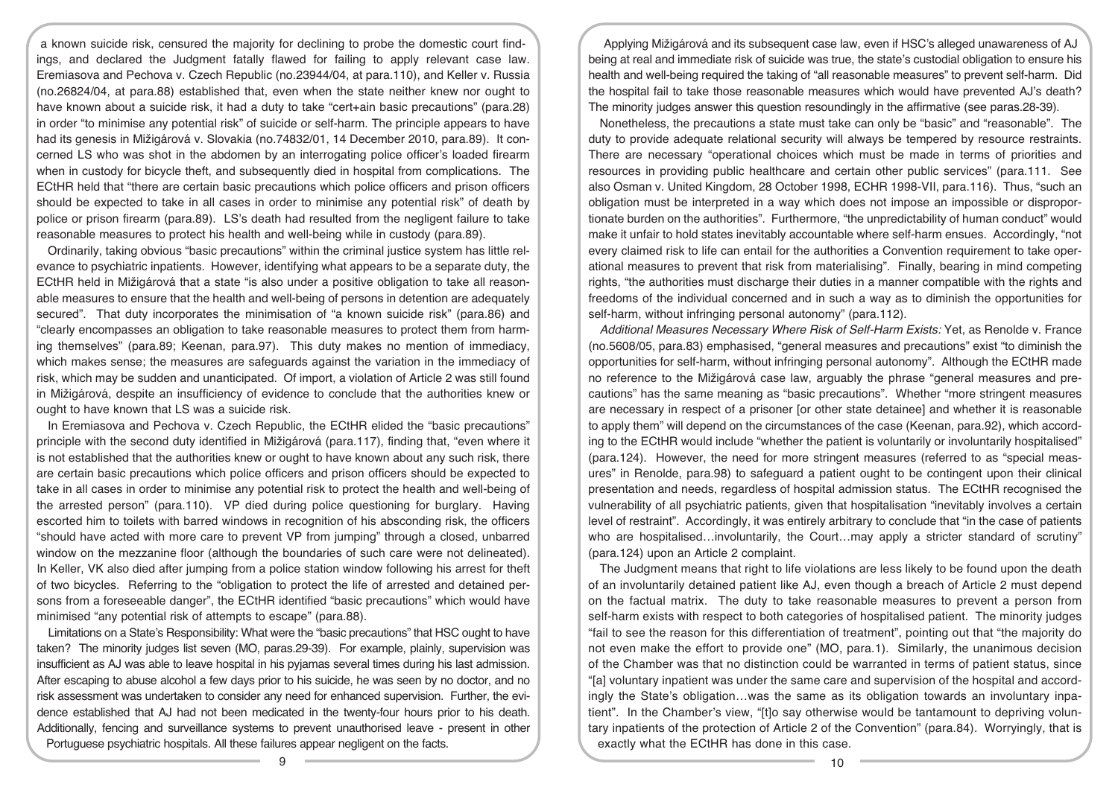a known suicide risk, censured the majority for declining to probe the domestic court findings, and declared the Judgment fatally flawed for failing to apply relevant case law. Eremiasova and Pechova v. Czech Republic (no.23944/04, at para.110), and Keller v. Russia (no.26824/04, at para.88) established that, even when the state neither knew nor ought to have known about a suicide risk, it had a duty to take "cert+ain basic precautions" (para.28) in order "to minimise any potential risk" of suicide or self-harm. The principle appears to have had its genesis in Mižigárová v. Slovakia (no.74832/01, 14 December 2010, para.89). It concerned LS who was shot in the abdomen by an interrogating police officer's loaded firearm when in custody for bicycle theft, and subsequently died in hospital from complications. The ECtHR held that "there are certain basic precautions which police officers and prison officers should be expected to take in all cases in order to minimise any potential risk" of death by police or prison firearm (para.89). LS's death had resulted from the negligent failure to take reasonable measures to protect his health and well-being while in custody (para.89).

Ordinarily, taking obvious "basic precautions" within the criminal justice system has little relevance to psychiatric inpatients. However, identifying what appears to be a separate duty, the ECtHR held in Mižigárová that a state "is also under a positive obligation to take all reasonable measures to ensure that the health and well-being of persons in detention are adequately secured". That duty incorporates the minimisation of "a known suicide risk" (para.86) and "clearly encompasses an obligation to take reasonable measures to protect them from harming themselves" (para.89; Keenan, para.97). This duty makes no mention of immediacy, which makes sense; the measures are safeguards against the variation in the immediacy of risk, which may be sudden and unanticipated. Of import, a violation of Article 2 was still found in Mižigárová, despite an insufficiency of evidence to conclude that the authorities knew or ought to have known that LS was a suicide risk.

In Eremiasova and Pechova v. Czech Republic, the ECtHR elided the "basic precautions" principle with the second duty identified in Mižigárová (para.117), finding that, "even where it is not established that the authorities knew or ought to have known about any such risk, there are certain basic precautions which police officers and prison officers should be expected to take in all cases in order to minimise any potential risk to protect the health and well-being of the arrested person" (para.110). VP died during police questioning for burglary. Having escorted him to toilets with barred windows in recognition of his absconding risk, the officers "should have acted with more care to prevent VP from jumping" through a closed, unbarred window on the mezzanine floor (although the boundaries of such care were not delineated). In Keller, VK also died after jumping from a police station window following his arrest for theft of two bicycles. Referring to the "obligation to protect the life of arrested and detained persons from a foreseeable danger", the ECtHR identified "basic precautions" which would have minimised "any potential risk of attempts to escape" (para.88).

Limitations on a State's Responsibility: What were the "basic precautions" that HSC ought to have taken? The minority judges list seven (MO, paras.29-39). For example, plainly, supervision was insufficient as AJ was able to leave hospital in his pyjamas several times during his last admission. After escaping to abuse alcohol a few days prior to his suicide, he was seen by no doctor, and no risk assessment was undertaken to consider any need for enhanced supervision. Further, the evidence established that AJ had not been medicated in the twenty-four hours prior to his death. Additionally, fencing and surveillance systems to prevent unauthorised leave - present in other Portuguese psychiatric hospitals. All these failures appear negligent on the facts.

Applying Mižigárová and its subsequent case law, even if HSC's alleged unawareness of AJ being at real and immediate risk of suicide was true, the state's custodial obligation to ensure his health and well-being required the taking of "all reasonable measures" to prevent self-harm. Did the hospital fail to take those reasonable measures which would have prevented AJ's death? The minority judges answer this question resoundingly in the affirmative (see paras.28-39).

Nonetheless, the precautions a state must take can only be "basic" and "reasonable". The duty to provide adequate relational security will always be tempered by resource restraints. There are necessary "operational choices which must be made in terms of priorities and resources in providing public healthcare and certain other public services" (para.111. See also Osman v. United Kingdom, 28 October 1998, ECHR 1998‑VII, para.116). Thus, "such an obligation must be interpreted in a way which does not impose an impossible or disproportionate burden on the authorities". Furthermore, "the unpredictability of human conduct" would make it unfair to hold states inevitably accountable where self-harm ensues. Accordingly, "not every claimed risk to life can entail for the authorities a Convention requirement to take operational measures to prevent that risk from materialising". Finally, bearing in mind competing rights, "the authorities must discharge their duties in a manner compatible with the rights and freedoms of the individual concerned and in such a way as to diminish the opportunities for self-harm, without infringing personal autonomy" (para.112).

Additional Measures Necessary Where Risk of Self-Harm Exists: Yet, as Renolde v. France (no.5608/05, para.83) emphasised, "general measures and precautions" exist "to diminish the opportunities for self-harm, without infringing personal autonomy". Although the ECtHR made no reference to the Mižigárová case law, arguably the phrase "general measures and precautions" has the same meaning as "basic precautions". Whether "more stringent measures are necessary in respect of a prisoner [or other state detainee] and whether it is reasonable to apply them" will depend on the circumstances of the case (Keenan, para.92), which according to the ECtHR would include "whether the patient is voluntarily or involuntarily hospitalised" (para.124). However, the need for more stringent measures (referred to as "special measures" in Renolde, para.98) to safeguard a patient ought to be contingent upon their clinical presentation and needs, regardless of hospital admission status. The ECtHR recognised the vulnerability of all psychiatric patients, given that hospitalisation "inevitably involves a certain level of restraint". Accordingly, it was entirely arbitrary to conclude that "in the case of patients who are hospitalised...involuntarily, the Court...may apply a stricter standard of scrutiny" (para.124) upon an Article 2 complaint.

The Judgment means that right to life violations are less likely to be found upon the death of an involuntarily detained patient like AJ, even though a breach of Article 2 must depend on the factual matrix. The duty to take reasonable measures to prevent a person from self-harm exists with respect to both categories of hospitalised patient. The minority judges "fail to see the reason for this differentiation of treatment", pointing out that "the majority do not even make the effort to provide one" (MO, para.1). Similarly, the unanimous decision of the Chamber was that no distinction could be warranted in terms of patient status, since "[a] voluntary inpatient was under the same care and supervision of the hospital and accordingly the State's obligation…was the same as its obligation towards an involuntary inpatient". In the Chamber's view, "[t]o say otherwise would be tantamount to depriving voluntary inpatients of the protection of Article 2 of the Convention" (para.84). Worryingly, that is exactly what the ECtHR has done in this case.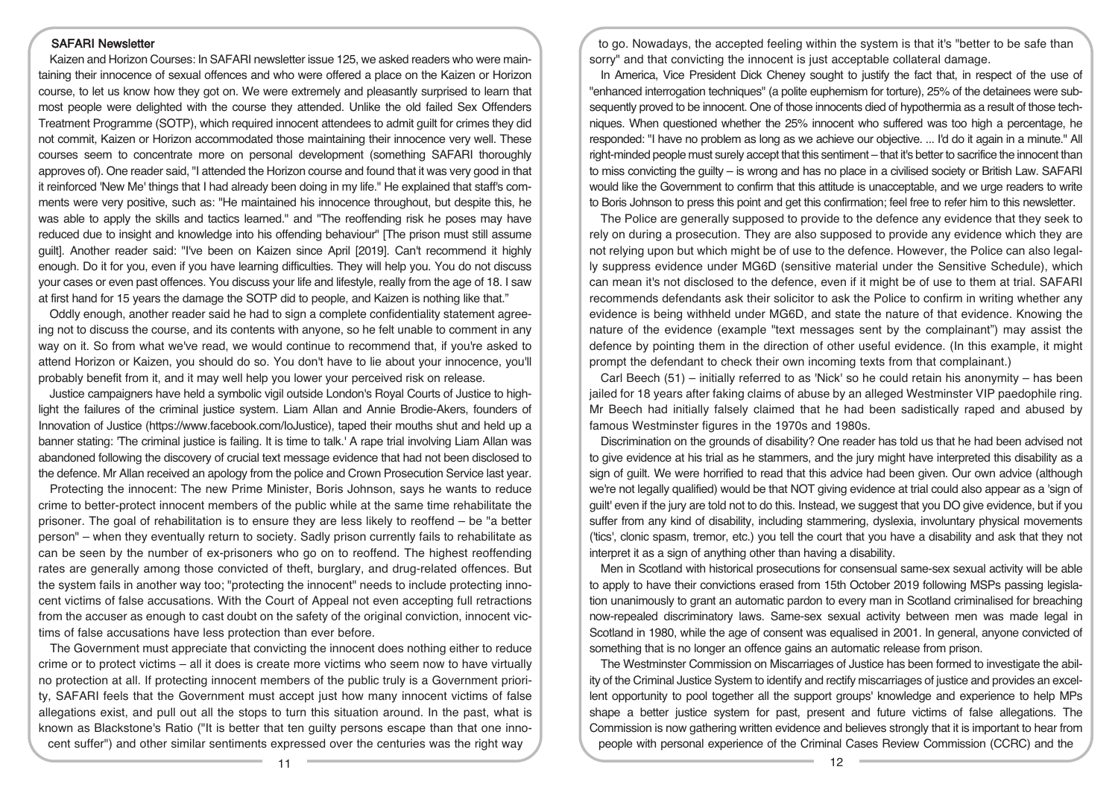#### SAFARI Newsletter

Kaizen and Horizon Courses: In SAFARI newsletter issue 125, we asked readers who were maintaining their innocence of sexual offences and who were offered a place on the Kaizen or Horizon course, to let us know how they got on. We were extremely and pleasantly surprised to learn that most people were delighted with the course they attended. Unlike the old failed Sex Offenders Treatment Programme (SOTP), which required innocent attendees to admit guilt for crimes they did not commit, Kaizen or Horizon accommodated those maintaining their innocence very well. These courses seem to concentrate more on personal development (something SAFARI thoroughly approves of). One reader said, "I attended the Horizon course and found that it was very good in that it reinforced 'New Me' things that I had already been doing in my life." He explained that staff's comments were very positive, such as: "He maintained his innocence throughout, but despite this, he was able to apply the skills and tactics learned." and "The reoffending risk he poses may have reduced due to insight and knowledge into his offending behaviour" [The prison must still assume guilt]. Another reader said: "I've been on Kaizen since April [2019]. Can't recommend it highly enough. Do it for you, even if you have learning difficulties. They will help you. You do not discuss your cases or even past offences. You discuss your life and lifestyle, really from the age of 18. I saw at first hand for 15 years the damage the SOTP did to people, and Kaizen is nothing like that."

Oddly enough, another reader said he had to sign a complete confidentiality statement agreeing not to discuss the course, and its contents with anyone, so he felt unable to comment in any way on it. So from what we've read, we would continue to recommend that, if you're asked to attend Horizon or Kaizen, you should do so. You don't have to lie about your innocence, you'll probably benefit from it, and it may well help you lower your perceived risk on release.

Justice campaigners have held a symbolic vigil outside London's Royal Courts of Justice to highlight the failures of the criminal justice system. Liam Allan and Annie Brodie-Akers, founders of Innovation of Justice (https://www.facebook.com/IoJustice), taped their mouths shut and held up a banner stating: 'The criminal justice is failing. It is time to talk.' A rape trial involving Liam Allan was abandoned following the discovery of crucial text message evidence that had not been disclosed to the defence. Mr Allan received an apology from the police and Crown Prosecution Service last year.

Protecting the innocent: The new Prime Minister, Boris Johnson, says he wants to reduce crime to better-protect innocent members of the public while at the same time rehabilitate the prisoner. The goal of rehabilitation is to ensure they are less likely to reoffend – be "a better person" – when they eventually return to society. Sadly prison currently fails to rehabilitate as can be seen by the number of ex-prisoners who go on to reoffend. The highest reoffending rates are generally among those convicted of theft, burglary, and drug-related offences. But the system fails in another way too; "protecting the innocent" needs to include protecting innocent victims of false accusations. With the Court of Appeal not even accepting full retractions from the accuser as enough to cast doubt on the safety of the original conviction, innocent victims of false accusations have less protection than ever before.

The Government must appreciate that convicting the innocent does nothing either to reduce crime or to protect victims – all it does is create more victims who seem now to have virtually no protection at all. If protecting innocent members of the public truly is a Government priority, SAFARI feels that the Government must accept just how many innocent victims of false allegations exist, and pull out all the stops to turn this situation around. In the past, what is known as Blackstone's Ratio ("It is better that ten guilty persons escape than that one innocent suffer") and other similar sentiments expressed over the centuries was the right way

to go. Nowadays, the accepted feeling within the system is that it's "better to be safe than sorry" and that convicting the innocent is just acceptable collateral damage.

In America, Vice President Dick Cheney sought to justify the fact that, in respect of the use of "enhanced interrogation techniques" (a polite euphemism for torture), 25% of the detainees were subsequently proved to be innocent. One of those innocents died of hypothermia as a result of those techniques. When questioned whether the 25% innocent who suffered was too high a percentage, he responded: "I have no problem as long as we achieve our objective. ... I'd do it again in a minute." All right-minded people must surely accept that this sentiment – that it's better to sacrifice the innocent than to miss convicting the guilty – is wrong and has no place in a civilised society or British Law. SAFARI would like the Government to confirm that this attitude is unacceptable, and we urge readers to write to Boris Johnson to press this point and get this confirmation; feel free to refer him to this newsletter.

The Police are generally supposed to provide to the defence any evidence that they seek to rely on during a prosecution. They are also supposed to provide any evidence which they are not relying upon but which might be of use to the defence. However, the Police can also legally suppress evidence under MG6D (sensitive material under the Sensitive Schedule), which can mean it's not disclosed to the defence, even if it might be of use to them at trial. SAFARI recommends defendants ask their solicitor to ask the Police to confirm in writing whether any evidence is being withheld under MG6D, and state the nature of that evidence. Knowing the nature of the evidence (example "text messages sent by the complainant") may assist the defence by pointing them in the direction of other useful evidence. (In this example, it might prompt the defendant to check their own incoming texts from that complainant.)

Carl Beech (51) – initially referred to as 'Nick' so he could retain his anonymity – has been jailed for 18 years after faking claims of abuse by an alleged Westminster VIP paedophile ring. Mr Beech had initially falsely claimed that he had been sadistically raped and abused by famous Westminster figures in the 1970s and 1980s.

Discrimination on the grounds of disability? One reader has told us that he had been advised not to give evidence at his trial as he stammers, and the jury might have interpreted this disability as a sign of guilt. We were horrified to read that this advice had been given. Our own advice (although we're not legally qualified) would be that NOT giving evidence at trial could also appear as a 'sign of guilt' even if the jury are told not to do this. Instead, we suggest that you DO give evidence, but if you suffer from any kind of disability, including stammering, dyslexia, involuntary physical movements ('tics', clonic spasm, tremor, etc.) you tell the court that you have a disability and ask that they not interpret it as a sign of anything other than having a disability.

Men in Scotland with historical prosecutions for consensual same-sex sexual activity will be able to apply to have their convictions erased from 15th October 2019 following MSPs passing legislation unanimously to grant an automatic pardon to every man in Scotland criminalised for breaching now-repealed discriminatory laws. Same-sex sexual activity between men was made legal in Scotland in 1980, while the age of consent was equalised in 2001. In general, anyone convicted of something that is no longer an offence gains an automatic release from prison.

The Westminster Commission on Miscarriages of Justice has been formed to investigate the ability of the Criminal Justice System to identify and rectify miscarriages of justice and provides an excellent opportunity to pool together all the support groups' knowledge and experience to help MPs shape a better justice system for past, present and future victims of false allegations. The Commission is now gathering written evidence and believes strongly that it is important to hear from people with personal experience of the Criminal Cases Review Commission (CCRC) and the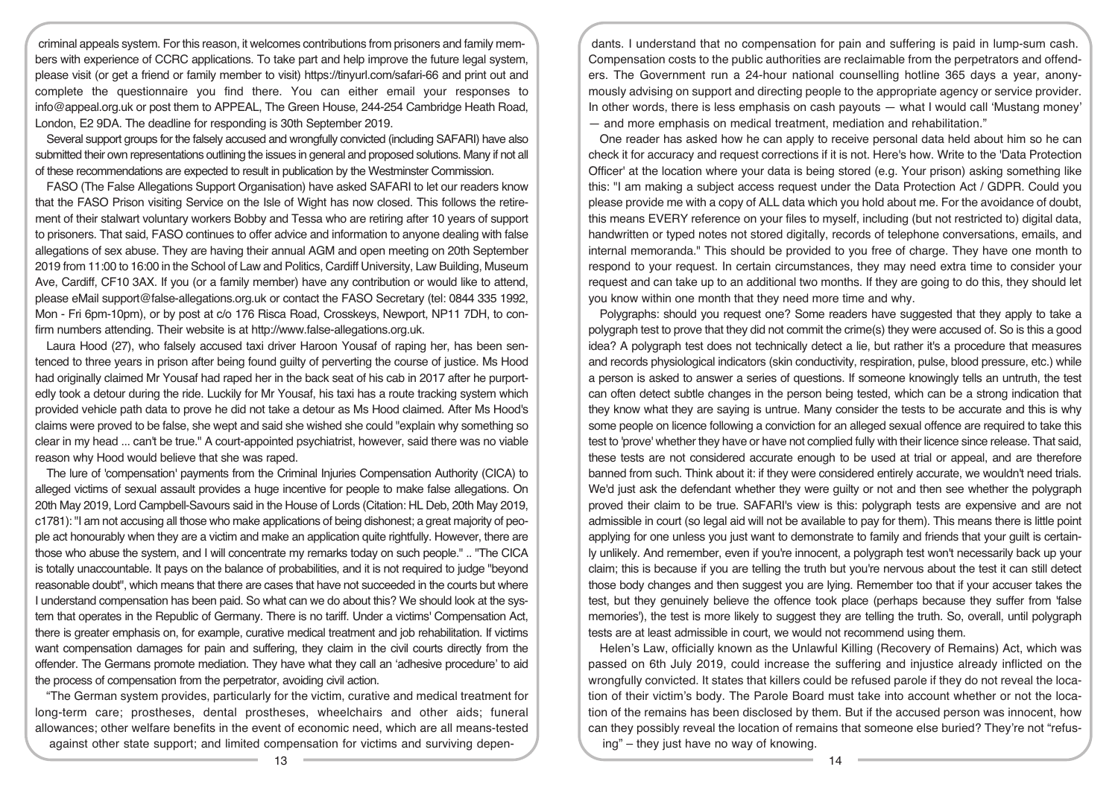criminal appeals system. For this reason, it welcomes contributions from prisoners and family members with experience of CCRC applications. To take part and help improve the future legal system, please visit (or get a friend or family member to visit) https://tinyurl.com/safari-66 and print out and complete the questionnaire you find there. You can either email your responses to info@appeal.org.uk or post them to APPEAL, The Green House, 244‑254 Cambridge Heath Road, London, E2 9DA. The deadline for responding is 30th September 2019.

Several support groups for the falsely accused and wrongfully convicted (including SAFARI) have also submitted their own representations outlining the issues in general and proposed solutions. Many if not all of these recommendations are expected to result in publication by the Westminster Commission.

FASO (The False Allegations Support Organisation) have asked SAFARI to let our readers know that the FASO Prison visiting Service on the Isle of Wight has now closed. This follows the retirement of their stalwart voluntary workers Bobby and Tessa who are retiring after 10 years of support to prisoners. That said, FASO continues to offer advice and information to anyone dealing with false allegations of sex abuse. They are having their annual AGM and open meeting on 20th September 2019 from 11:00 to 16:00 in the School of Law and Politics, Cardiff University, Law Building, Museum Ave, Cardiff, CF10 3AX. If you (or a family member) have any contribution or would like to attend, please eMail support@false-allegations.org.uk or contact the FASO Secretary (tel: 0844 335 1992, Mon - Fri 6pm-10pm), or by post at c/o 176 Risca Road, Crosskeys, Newport, NP11 7DH, to confirm numbers attending. Their website is at http://www.false-allegations.org.uk.

Laura Hood (27), who falsely accused taxi driver Haroon Yousaf of raping her, has been sentenced to three years in prison after being found guilty of perverting the course of justice. Ms Hood had originally claimed Mr Yousaf had raped her in the back seat of his cab in 2017 after he purportedly took a detour during the ride. Luckily for Mr Yousaf, his taxi has a route tracking system which provided vehicle path data to prove he did not take a detour as Ms Hood claimed. After Ms Hood's claims were proved to be false, she wept and said she wished she could "explain why something so clear in my head ... can't be true." A court-appointed psychiatrist, however, said there was no viable reason why Hood would believe that she was raped.

The lure of 'compensation' payments from the Criminal Injuries Compensation Authority (CICA) to alleged victims of sexual assault provides a huge incentive for people to make false allegations. On 20th May 2019, Lord Campbell-Savours said in the House of Lords (Citation: HL Deb, 20th May 2019, c1781): "I am not accusing all those who make applications of being dishonest; a great majority of people act honourably when they are a victim and make an application quite rightfully. However, there are those who abuse the system, and I will concentrate my remarks today on such people." .. "The CICA is totally unaccountable. It pays on the balance of probabilities, and it is not required to judge "beyond reasonable doubt", which means that there are cases that have not succeeded in the courts but where I understand compensation has been paid. So what can we do about this? We should look at the system that operates in the Republic of Germany. There is no tariff. Under a victims' Compensation Act, there is greater emphasis on, for example, curative medical treatment and job rehabilitation. If victims want compensation damages for pain and suffering, they claim in the civil courts directly from the offender. The Germans promote mediation. They have what they call an 'adhesive procedure' to aid the process of compensation from the perpetrator, avoiding civil action.

"The German system provides, particularly for the victim, curative and medical treatment for long-term care; prostheses, dental prostheses, wheelchairs and other aids; funeral allowances; other welfare benefits in the event of economic need, which are all means-tested against other state support; and limited compensation for victims and surviving depen-

dants. I understand that no compensation for pain and suffering is paid in lump-sum cash. Compensation costs to the public authorities are reclaimable from the perpetrators and offenders. The Government run a 24-hour national counselling hotline 365 days a year, anonymously advising on support and directing people to the appropriate agency or service provider. In other words, there is less emphasis on cash payouts — what I would call 'Mustang money' — and more emphasis on medical treatment, mediation and rehabilitation."

One reader has asked how he can apply to receive personal data held about him so he can check it for accuracy and request corrections if it is not. Here's how. Write to the 'Data Protection Officer' at the location where your data is being stored (e.g. Your prison) asking something like this: "I am making a subject access request under the Data Protection Act / GDPR. Could you please provide me with a copy of ALL data which you hold about me. For the avoidance of doubt, this means EVERY reference on your files to myself, including (but not restricted to) digital data, handwritten or typed notes not stored digitally, records of telephone conversations, emails, and internal memoranda." This should be provided to you free of charge. They have one month to respond to your request. In certain circumstances, they may need extra time to consider your request and can take up to an additional two months. If they are going to do this, they should let you know within one month that they need more time and why.

Polygraphs: should you request one? Some readers have suggested that they apply to take a polygraph test to prove that they did not commit the crime(s) they were accused of. So is this a good idea? A polygraph test does not technically detect a lie, but rather it's a procedure that measures and records physiological indicators (skin conductivity, respiration, pulse, blood pressure, etc.) while a person is asked to answer a series of questions. If someone knowingly tells an untruth, the test can often detect subtle changes in the person being tested, which can be a strong indication that they know what they are saying is untrue. Many consider the tests to be accurate and this is why some people on licence following a conviction for an alleged sexual offence are required to take this test to 'prove' whether they have or have not complied fully with their licence since release. That said, these tests are not considered accurate enough to be used at trial or appeal, and are therefore banned from such. Think about it: if they were considered entirely accurate, we wouldn't need trials. We'd just ask the defendant whether they were guilty or not and then see whether the polygraph proved their claim to be true. SAFARI's view is this: polygraph tests are expensive and are not admissible in court (so legal aid will not be available to pay for them). This means there is little point applying for one unless you just want to demonstrate to family and friends that your guilt is certainly unlikely. And remember, even if you're innocent, a polygraph test won't necessarily back up your claim; this is because if you are telling the truth but you're nervous about the test it can still detect those body changes and then suggest you are lying. Remember too that if your accuser takes the test, but they genuinely believe the offence took place (perhaps because they suffer from 'false memories'), the test is more likely to suggest they are telling the truth. So, overall, until polygraph tests are at least admissible in court, we would not recommend using them.

Helen's Law, officially known as the Unlawful Killing (Recovery of Remains) Act, which was passed on 6th July 2019, could increase the suffering and injustice already inflicted on the wrongfully convicted. It states that killers could be refused parole if they do not reveal the location of their victim's body. The Parole Board must take into account whether or not the location of the remains has been disclosed by them. But if the accused person was innocent, how can they possibly reveal the location of remains that someone else buried? They're not "refusing" – they just have no way of knowing.